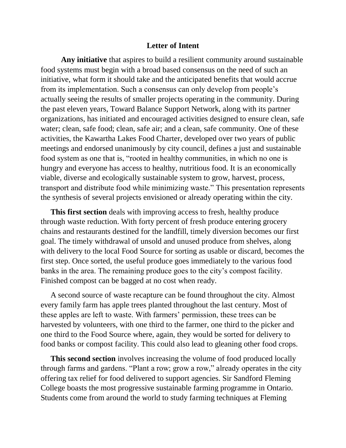## **Letter of Intent**

**Any initiative** that aspires to build a resilient community around sustainable food systems must begin with a broad based consensus on the need of such an initiative, what form it should take and the anticipated benefits that would accrue from its implementation. Such a consensus can only develop from people's actually seeing the results of smaller projects operating in the community. During the past eleven years, Toward Balance Support Network, along with its partner organizations, has initiated and encouraged activities designed to ensure clean, safe water; clean, safe food; clean, safe air; and a clean, safe community. One of these activities, the Kawartha Lakes Food Charter, developed over two years of public meetings and endorsed unanimously by city council, defines a just and sustainable food system as one that is, "rooted in healthy communities, in which no one is hungry and everyone has access to healthy, nutritious food. It is an economically viable, diverse and ecologically sustainable system to grow, harvest, process, transport and distribute food while minimizing waste." This presentation represents the synthesis of several projects envisioned or already operating within the city.

 **This first section** deals with improving access to fresh, healthy produce through waste reduction. With forty percent of fresh produce entering grocery chains and restaurants destined for the landfill, timely diversion becomes our first goal. The timely withdrawal of unsold and unused produce from shelves, along with delivery to the local Food Source for sorting as usable or discard, becomes the first step. Once sorted, the useful produce goes immediately to the various food banks in the area. The remaining produce goes to the city's compost facility. Finished compost can be bagged at no cost when ready.

 A second source of waste recapture can be found throughout the city. Almost every family farm has apple trees planted throughout the last century. Most of these apples are left to waste. With farmers' permission, these trees can be harvested by volunteers, with one third to the farmer, one third to the picker and one third to the Food Source where, again, they would be sorted for delivery to food banks or compost facility. This could also lead to gleaning other food crops.

 **This second section** involves increasing the volume of food produced locally through farms and gardens. "Plant a row; grow a row," already operates in the city offering tax relief for food delivered to support agencies. Sir Sandford Fleming College boasts the most progressive sustainable farming programme in Ontario. Students come from around the world to study farming techniques at Fleming